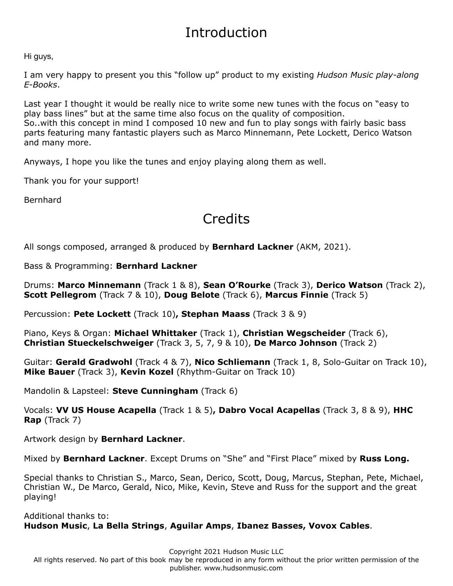## Introduction

Hi guys,

I am very happy to present you this "follow up" product to my existing *Hudson Music play-along E-Books*.

Last year I thought it would be really nice to write some new tunes with the focus on "easy to play bass lines" but at the same time also focus on the quality of composition. So..with this concept in mind I composed 10 new and fun to play songs with fairly basic bass parts featuring many fantastic players such as Marco Minnemann, Pete Lockett, Derico Watson and many more.

Anyways, I hope you like the tunes and enjoy playing along them as well.

Thank you for your support!

Bernhard

## **Credits**

All songs composed, arranged & produced by **Bernhard Lackner** (AKM, 2021).

Bass & Programming: **Bernhard Lackner**

Drums: **Marco Minnemann** (Track 1 & 8), **Sean O'Rourke** (Track 3), **Derico Watson** (Track 2), **Scott Pellegrom** (Track 7 & 10), **Doug Belote** (Track 6), **Marcus Finnie** (Track 5)

Percussion: **Pete Lockett** (Track 10)**, Stephan Maass** (Track 3 & 9)

Piano, Keys & Organ: **Michael Whittaker** (Track 1), **Christian Wegscheider** (Track 6), **Christian Stueckelschweiger** (Track 3, 5, 7, 9 & 10), **De Marco Johnson** (Track 2)

Guitar: **Gerald Gradwohl** (Track 4 & 7), **Nico Schliemann** (Track 1, 8, Solo-Guitar on Track 10), **Mike Bauer** (Track 3), **Kevin Kozel** (Rhythm-Guitar on Track 10)

Mandolin & Lapsteel: **Steve Cunningham** (Track 6)

Vocals: **VV US House Acapella** (Track 1 & 5)**, Dabro Vocal Acapellas** (Track 3, 8 & 9), **HHC Rap** (Track 7)

Artwork design by **Bernhard Lackner**.

Mixed by **Bernhard Lackner**. Except Drums on "She" and "First Place" mixed by **Russ Long.**

Special thanks to Christian S., Marco, Sean, Derico, Scott, Doug, Marcus, Stephan, Pete, Michael, Christian W., De Marco, Gerald, Nico, Mike, Kevin, Steve and Russ for the support and the great playing!

Additional thanks to: **Hudson Music**, **La Bella Strings**, **Aguilar Amps**, **Ibanez Basses, Vovox Cables**.

Copyright 2021 Hudson Music LLC All rights reserved. No part of this book may be reproduced in any form without the prior written permission of the publisher. www.hudsonmusic.com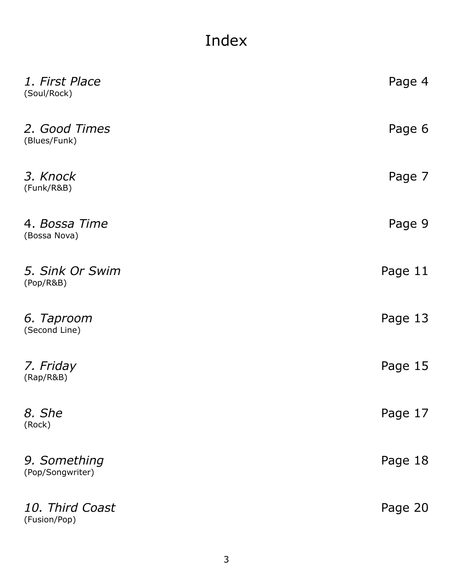## Index

| 1. First Place<br>(Soul/Rock)    | Page 4  |
|----------------------------------|---------|
| 2. Good Times<br>(Blues/Funk)    | Page 6  |
| 3. Knock<br>(Funk/R&B)           | Page 7  |
| 4. Bossa Time<br>(Bossa Nova)    | Page 9  |
| 5. Sink Or Swim<br>(Pop/R&B)     | Page 11 |
| 6. Taproom<br>(Second Line)      | Page 13 |
| 7. Friday<br>(Rap/R&B)           | Page 15 |
| 8. She<br>(Rock)                 | Page 17 |
| 9. Something<br>(Pop/Songwriter) | Page 18 |
| 10. Third Coast<br>(Fusion/Pop)  | Page 20 |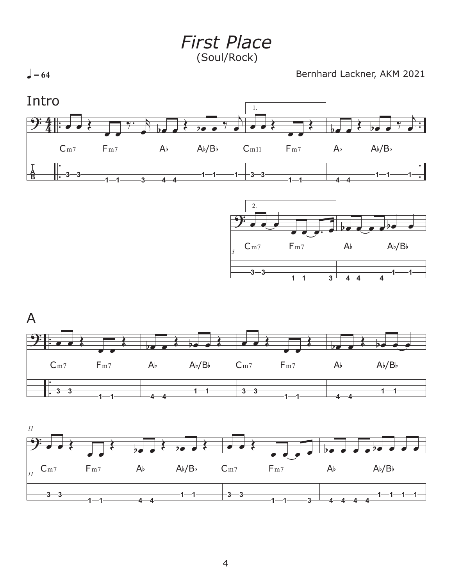*First Place* (Soul/Rock)

 $\bullet = 64$ 

Bernhard Lackner, AKM 2021